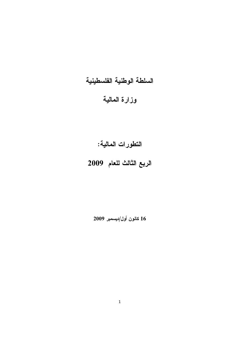# السلطة الوطنية الفلسطينية

### وزارة المالية

## التطورات المالية:

# الربع الثالث للعام 2009

2009 
/  **16**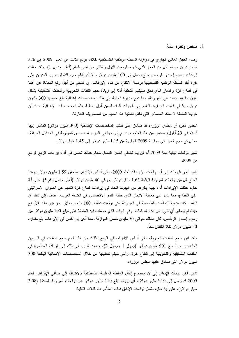### 1. ملخص ونظرة عامة

وصل العجز المالي الجاري في موازنة السلطة الوطنية الفلسطينية خلال الربع الثالث من العام 2009 إلى 376 مليون دولار، وهو أقل من العجز الذي شهده الربعين الأول والثانـي من نفس العام (أنظر جدول 1). ولقد حققت إيرادات رسوم إصدار الرخص مبلغ وصل إلى 100 مليون دولار ، إلا أن نفاقم حجم الإنفاق بسبب العدوان على غزة أفقد السلطة الوطنية الفلسطينية فرصة الانتفاع من هذه الإيرادات. إن السعي من أجل رفع المعاناة عن أهلنا في قطاع غزة والدمار الذي لحق ببنيتهم التحتية أدتا إلى زيادة حجم النفقات التحويلية والنفقات التشغيلية بشكل يفوق ما هو محدد في الموازنة، مما دفع وزارة المالية إلى طلب مخصصات إضافية بلغ حجمها 300 مليون دولار ، بالنالي قامت الوزارة بالنقدم إلى الجهات المانحة من أجل تغطية هذه المخصصات الإضافية حيث أن خزينة السلطة لا تملك المصادر التي تكفل تغطية هذا الحجم من المصاريف الطارئة.

الجدير ذكره أن مجلس الوزراء قد صادق على طلب المخصصات الإضافية (300 مليون دولار) المشار إليها أعلاه في 29 أيلول/ سبتمبر من هذا العام، حيث تم إدراجها في الجزء المخصص للموازنة في الجداول المرفقة، مما يرفع حجم العجز في موازنة 2009 الجارية من 1.15 مليار دولار إلى 1.45 مليار دولار .

تشير توقعات نهاية سنة 2009 أنه لن يتم تخطى العجز المعدل مادام هنالك تحسن في أداء إيرادات الربع الرابع من 2009.

تشير آخر البيانات إلى أن نوفعات الإيرادات لعام 2009، على أساس الالنزام، ستحقق 1.59 مليون دولار ، وهذا الممبلغ أقل من نوقعات الموازنة البالغة 1.63 مليار دولار بحوالي 40 مليون دولار (أنظر جدول رقم 5). على أية حال، حققت الإيرادات أداءً جيداً بالرغم من الهبوط الحاد في إيرادات قطاع غزة الناجم عن العدوان الإسرائيلي على القطاع، مما يدل على فعالية الانجاز الذي حققه النمو الاقتصادي في الضفة الغربية، أضف إلى ذلك أن النقص كان نتيجة للتوقعات الطموحة في الموازنة التي توقعت تحقيق 100 مليون دولار عبر توزيعات الأرباح حيث لم يتحقق أي شيء من هذه النوقعات. وفي الوقت الذي حصلت فيه السلطة على مبلغ 100 مليون دولار من رسوم إصدار الرخص، كان هنالك حوالي 50 مليون ضمن الموازنة، مما أدى إلى نقص في الإيرادات بلغ مقدار ه 50 مليون دولار لكلا الفئتان معاً.

ولقد فاق حجم النفقات الجارية، على أساس الالتزام، في الربع الثالث من هذا العام حجم النفقات في الربعين الماضيين حيث بلغ 901 مليون دولار (جدول 1 وجدول 2)، ويعود السبب في ذلك إلى الزيادة المستمرة في النفقات التشغيلية والتحويلية إلى قطاع غزة، والتي سيتم تغطيتها من خلال المخصصات الإضافية البالغة 300 مليون دولار التي صادق عليها مجلس الوزراء.

تشير آخر بيانات الإنفاق إلى أن مجموع إنفاق السلطة الوطنية الفلسطينية بالإضافة إلى صافى الإقراض لعام 2009 قد يصل إلى 3.19 مليار دولار، أي بزيادة نبلغ 110 مليون دولار عن نوقعات الموازنة المعدلة (3.08 مليار دولار). على أية حال، تشمل نوقعات الإنفاق فئات المتأخرات الثلاث التالية: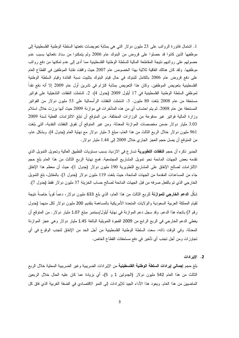1. اشتمال فاتورة الرواتب على 23 مليون دولار التي هي بمثابة تعويضات دفعتها السلطة الوطنية الفلسطينية إلى موظفيها الذين كانوا قد حصلوا على قروض من البنوك عام 2006 ولم يتمكنوا من سداد دفعاتها بسبب عدم حصولهم على رواتبهم نتيجة المقاطعة المالية للسلطة الوطنية الفلسطينية مما أدى إلى عدم نمكنها من دفع رواتب موظفيها. ولقد كان هنالك اتفاقية ثلاثية بهذا الخصوص عام 2007 حيث وافقت نقابة الموظفين في القطاع العام على دفع قروض عام 2006 بالكامل للبنوك في حال قيام البنوك بتثبيت نسبة الفائدة وقيام السلطة الوطنية الفلسطينية بتعويض الموظفين. وكان هذا التعويض بمثابة النزام في نشرين أول عام 2009 إلا أنه دفع نقدا لموظفى السلطة الوطنية الفلسطينية في 17 أيلول 2009 (جدول 4). 2. اشتملت النفقات التشغيلية على فواتير مستحقة من عام 2008 بلغت 80 مليون. 3. اشتملت النفقات الرأسمالية على 53 مليون دولار من الفواتير المستحقة عن عام 2008. لم يتم احتساب أي من هذه المتأخرات في موازنة 2009 حيث أنها برزت خلال استلام وزارة المالية فوانير غير مدفوعة من الوزارات المختلفة. من المتوقع أن نبلغ الالتزامات الفعلية لسنة 2009 3.03 مليار دولار ضمن مخصصات الموازنة المعدلة. ومن غير المتوقع أن تفوق النفقات النقدية، التي بلغت 961 مليون دولار خلال الربع الثالث من هذا العام، مبلغ 3 مليار دولار مع نهاية العام (جدول 4). وبشكل عام، من المنوقع أن يصل حجم العجز الجاري خلال 2009 إلى 1.44 مليار دولار .

الجدير ذكره أن حجم ا**لنفقات التطويرية** تسار ع في الازدياد بسبب مستويات التطبيق العالية وتحويل التمويل الذي نقدمه بعض الجهات المانحة نحو تمويل المشاريع المجتمعية. فمع نهاية الربع الثالث من هذا العام بلغ حجم الالتزامات لصـالـح الإنفاق علـى المشاريـع التطويرية 190 مليون دولار (جدول 1)، حيث أن معظم هذا الإنفاق جاء من المساعدات المقدمة من الجهات المانحة، حيث بلغت 119 مليون دولار (جدول 3). بالمقابل، بلغ التمويل الخارجي الذي تم بالفعل صرفه من قبل الجهات المانحة لصالح حساب الخزينة 37 مليون دولار فقط (جدول 7). شكّل ا**لدعم الخارجي للموازنـة** للربـع الثالث من هذا الـعام، الذي بلـغ 633 مليون دولار ، دعماً قوياً خاصـةُ نتيجة لقيام المملكة العربية السعودية والولايات المتحدة الأمريكية بالمساهمة بتقديم 200 مليون دولار لكل منهما (جدول رقم 7) باتجاه هذا الدعم. وقد سجل دعم الموازنة في نهاية أيلول/سبتمبر مبلغ 1.07 مليار دولار . من المتوقع أن يغطي الدعم الخارجي في الربع الرابع من 2009 الفجوة التمويلية البالغة 1.45 مليار دولار وهي عجز الموازنة المعدلة. وفي الوقت ذاته، سعت السلطة الوطنية الفلسطينية من أجل الحد من الإنفاق لتجنب الوقوع في أي تجاوزات ومن أجل تجنب أي تأخير في دفع مستحقات القطاع الخاص.

2. الإيرادات

بلغ حجم إ**جمالي إيرادات السلطة الوطنية الفلسطينية** من الإيرادات الضريبية وغير الضريبية المحلية خلال الربع الثالث من هذا العام 542 مليون دولار (الجدولين 1 و 5)، أي بزيادة عما كان عليه الحال خلال الربعين الماضيين من هذا العام. ويعود هذا الأداء الجيد للإيرادات إلى النمو الاقتصادي في الضفة الغربية الذي فاق كل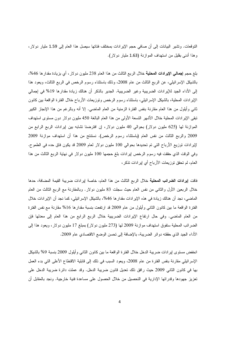النوفعات. وتشير البيانات إلى أن صافى حجم الإيرادات بمختلف فئاتها سيصل هذا العام إلى 1.59 مليار دولار، و هذا أدنى بقليل من استهداف المو از نة (1.63 مليار دو لار).

بلغ حجم إ**جمالي الإيرادات المحلية** خلال الربع الثالث من هذا العام 238 مليون دولار ، أي بزيادة مقدارها 46%، بالشيكل الإسرائيلي، عن الربع الثالث من عام 2008، وذلك باستثناء رسوم الرخص في الربع الثالث، ويعود هذا إلى الأداء الجيد للإيرادات الضريبية وغير الضريبية. الجدير بالذكر أن هنالك زيادة مقدارها 19% في إجمالي الإيرادات المحلية، بالشيكل الإسرائيلي، باستثناء رسوم الرخص ونوزيعات الأرباح خلال الفترة الواقعة بين كانون ثاني وأيلول من هذا العام مقارنة بنفس الفترة الزمنية من العام الماضـي. إلا أنه وبالرغم من هذا الإنجاز الكبير نبقى الإيرادات المحلية خلال الأشهر التسعة الأولى من هذا العام البالغة 450 مليون دولار دون مستوى استهداف الموازنة لها (625 مليون دولار) بحوالي 40 مليون دولار، إن افترضنا تشابه بين إيرادات الربع الرابع من 2009 والربع الثالث من نفس العام (باستثناء رسوم الرخص). نستنتج من هذا أن استهداف موازنة 2009 لإيرادات نوزيع الأرباح التي تم تحديدها بحوالي 100 مليون دولار لعام 2009 قد يكون فاق حده في الطموح. وفي الوقت الذي حققت فيه رسوم الرخص إيرادات بلغ حجمها 100 مليون دولار في نهاية الربع الثالث من هذا العام، لم تحقق توزيعات الأرباح أي إيرادات تذكر ،

فاقت إيرادات الضرائب المحلية خلال الربع الثالث من هذا العام، خاصة إيرادات ضريبة القيمة المضافة، حدها خلال الربعين الأول والثانـي من نفس العام حيث سجلت 83 مليون دولار . وبالمقارنـة مـع الربـع الثالث من العام الماضـي، نـجد أن هنالك زيادة فـي هذه الإيرادات مقدار ها 46%، بالشيكل الإسرائيلـي، كما نـجد أن الإيرادات خلال الفترة الواقعة ما بين كانون الثانـي وأيلول من عام 2009 قد ارتفعت بنسبة مقدارها 16% مقارنـة مـع نفس الفترة من العام الماضي. وفي حال ارتفاع الإيرادات الضريبية خلال الربع الرابع من هذا العام إلى معدلها فإن الضرائب المحلية ستفوق استهداف موازنة 2009 لمها (273 مليون دولار) بمبلغ 17 مليون دولار ، ويعود هذا إلى الأداء الجيد الذي حققته دوائر الضريبة، بالإضافة إلى نحسن الوضع الاقتصادي عام 2009.

انخفض مستوى ايرادات ضريبة الدخل خلال الفترة الواقعة ما بين كانون الثاني وأيلول 2009 بنسبة 9% بالشيكل الإسرائيلي مقارنة بنفس الفترة من عام 2008، ويعود السبب في ذلك إلى قابلية الاقتطاع الأعلى التي بدء العمل بها في كانون الثاني 2009 حيث رافق ذلك نعديل قانون ضريبة الدخل. وقد عملت دائرة ضريبة الدخل على تعزيز جهودها وقدراتها الإدارية في التحصيل من خلال الحصول على مساعدة فنية خارجية. ونجد بالمقابل أن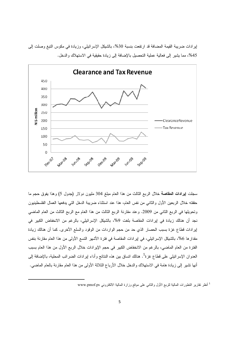

إيرادات ضريبة القيمة المضافة قد ارتفعت بنسبة 30%، بالشيكل الإسرائيلي، وزيادة في مكوس التبغ وصلت إلى 45%، مما يشير إلى فعالية عملية التحصيل بالإضافة إلى زيادة حقيقية في الاستهلاك والدخل.

سجلت إيرادات العقاصة خلال الربع الثالث من هذا العام مبلغ 304 مليون دولار (جدول 5) وهذا يفوق حجم ما حققته خلال الربعين الأول والثاني من نفس العام، هذا عند استثناء ضريبة الدخل التي يدفعها العمال الفلسطينيون وتحويلها في الربع الثاني من 2009. وعند مقارنة الربع الثالث من هذا العام مع الربع الثالث من العام الماضي نجد أن هنالك زيادة في إيرادات المقاصة بلغت 9%، بالشيكل الإسرائيلي، بالرغم من الانخفاض الكبير في إيرادات قطاع غزة بسبب الحصار الذي حد من حجم الواردات من الوقود والسلع الأخرى. كما أن هنالك زيادة مقدار ها 6%، بالشيكل الإسرائيلي، في إير ادات المقاصة في فترة الأشهر التسع الأولى من هذا العام مقارنة بنفس الفترة من العام الماضي، بالرغم من الانخفاض الكبير في حجم الإيرادات خلال الربع الأول من هذا العام بسبب العدو ان الإسر ائيلي على قطاع غزة<sup>1</sup>. هنالك اتساق بين هذه النتائج وأداء إير ادات الضر ائب المحلية، بالإضافة إلى أنها تشير إلى زيادة هامة في الاستهلاك والدخل خلال الأرباع الثلاثة الأولى من هذا العام مقارنة بالعام الماضي.

<sup>1</sup> أنظر نقارير النطورات المالية للربع الأول والثاني على موقع وزارة المالية الالكتروني www.pmof.ps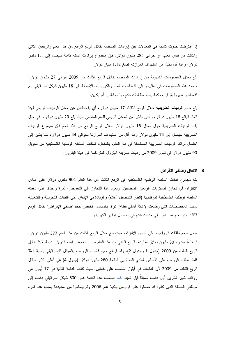إذا افترضنا حدوث نشابه في المعدلات بين ايرادات المقاصة خلال الربع الرابع من هذا العام والربعين الثاني والثالث من نفس العام، أي حوالي 285 مليون دولار، فإن مجموع لِيرادات السنة كاملة سيصل إلى 1.1 مليار دولار، وهذا أقل بقليل من استهداف الموازنة البالغ 1.12 مليار دولار.

بلغ معدل الخصومات الشهرية من إيرادات المقاصة خلال الربع الثالث من 2009 حوالي 27 مليون دولار، وتعود هذه الخصومات في غالبيتها إلى اقتطاعات الماء والكهرباء، بالإضافة إلى 18 مليون شيكل إسرائيلي يتم اقتطاعها شهر يا بقر ار ٍ محكمة باسم مطالبات تقدم بها مو اطنين أمر يكيين.

بلغ حجم **الرديات الضريبية** خلال الربع الثالث 17 مليون دولار ، أي بانخفاض عن معدل الرديات الربعي لهذا العام البالغ 18 مليون دولار ، وأدنى بكثير من المعدل الربعي للعام الماضي حيث بلغ 29 مليون دولار . في حال بقاء الرديات الضريبية حول معدل 18 مليون دولار خلال الربع الرابع من هذا العام فإن مجموع الرديات الضريبية سيصل إلى 74 مليون دولار وهذا أقل من استهداف الموازنة بحوالـي 44 مليون دولار، مما يشير إلى احتمال نراكم الرديات الضريبية المستحقة في هذا العام. بالمقابل، تمكنت السلطة الوطنية الفلسطينية من تحويل 90 مليون دولار في تموز 2009 من رديات ضريبة البترول المتراكمة إلى هيئة البترول.

### 3. الإنفاق وصافحي الإقراض

بلغ مجموع نفقات السلطة الوطنية الفلسطينية في الربع الثالث من هذا العام 901 مليون دولار على أساس الالتزام، أي تجاوز لمستويات الربعين الماضيين. ويعود هذا التجاوز إلى التعويض، لمرة واحدة، الذي دفعته السلطة الوطنية الفلسطينية لموظفيها (أنظر التفاصيل أعلاه) والزيادة في الإنفاق على النفقات التحويلية والتشغيلية بسبب المخصصات التي وضعت لإغاثة أهالي قطاع غزة. بالمقابل، انخفض حجم "صافي الإقراض" خلال الربع الثالث من العام مما يشير إلى حدوث نقدم في تحصيل فوانير الكهرباء.

سجل حجم **نفقات الرواتب**، على أساس الالنزام، حيث بلغ خلال الربع الثالث من هذا العام 377 مليون دولار، ارنفاعا مقداره 30 مليون دولار مقارنة بالربع الثانبي من هذا العام بسبب تخفيض قيمة الدولار بنسبة 7% خلال الربع الثالث من 2009 (جدول 1 وجدول 2). وقد ارتفع حجم فاتورة الرواتب بالشيكل الإسرائيلي بنسبة 1% فقط. نفقات الروانب على الأساس النقدي المحاسبي البالغة 280 مليون دولار (جدول 4) هي أعلى بكثير خلال الربع الثالث من 2009 لأن الدفعات في أيلول اشتملت على دفعتين، حيث كانت الدفعة الثانية في 17 أيلول هي رواتب شهر تشرين أول دفعت مسبقا قبل العيد. كما اشتملت هذه الدفعة على 600 شيكل إسرائيلي دفعت إلى موظفي السلطة الذين كانوا قد حصلوا على قروض بنكية عام 2006 ولم يتمكنوا من تسديدها بسبب عدم قدرة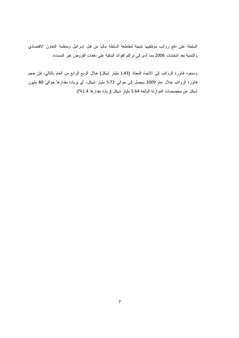السلطة على دفع رواتب موظفيها نتيجة لمقاطعة السلطة مالياً من قبل إسرائيل ومنظمة التعاون الاقتصادي والتتمية بعد انتخابات 2006 مما أدى إلى نزاكم الفوائد البنكية على دفعات القروض غير المسددة.

وستعود فانورة الروانب إلى الانجاه المعتاد (1.43 مليار شيكل) خلال الربع الرابع من العام بالنالي، فإن حجم فانورة الرواتب خلال عام 2009 سيصل إلى حوالي 5.72 مليار شيكل، أي بزيادة مقدارها حوالي 80 مليون شيكل عن مخصصات الموازنة البالغة 5.64 مليار شيكل (زيادة مقدارها 1.4%).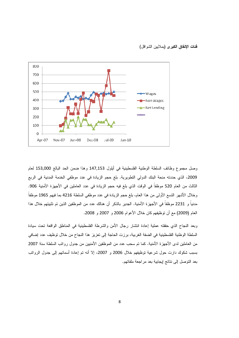فَئات الإنفاق الكبرى (بملايين الشواقل)



وصل مجموع وظائف السلطة الوطنية الفلسطينية في أيلول 147,153 وهذا ضمن الحد البالغ 153,000 لعام 2009، الذي حددته منحة البنك الدولي التطويرية. بلغ حجم الزيادة في عدد موظفي الخدمة المدنية في الربع الثالث من العام 520 موظفاً في الوقت الذي بلغ فيه حجم الزيادة في عدد العاملين في الأجهزة الأمنية 906. وخلال الأشهر التسع الأولى من هذا العام، بلغ حجم الزيادة في عدد موظفي السلطة 4216 بما فيهم 1965 موظفا مدنياً و 2231 موظفاً في الأجهزة الأمنية. الجدير بالذكر أن هنالك عدد من الموظفين الذين تم تثبيتهم خلال هذا العام (2009) مع أن توظيفهم كان خلال الأعوام 2006 و 2007 و 2008.

وبعد النجاح الذي حققته عملية إعادة انتشار رجال الأمن والشرطة الفلسطينية في المناطق الواقعة نحت سيادة السلطة الوطنية الفلسطينية في الضفة الغربية، برزت الحاجة إلى تعزيز هذا النجاح من خلال توظيف عدد إضافي من العاملين لدى الأجهزة الأمنية. كما تم سحب عدد من الموظفين الأمنيين من جدول رواتب السلطة سنة 2007 بسبب شكوك دارت حول شرعية توظيفهم خلال 2006 و 2007، إلا أنه تم إعادة أسمائهم إلى جدول الرواتب بعد النوصل إلى نتائج إيجابية بعد مراجعة ملفاتهم.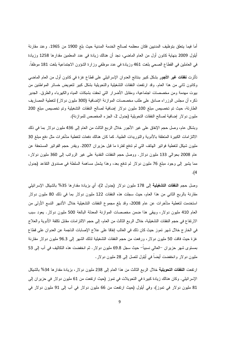أما فيما يتعلق بتوظيف المدنيين فكان معظمه لصالح الخدمة المدنية حيث بلغ 1900 من 1965. وعند مقارنة أيلول 2009 بنهاية كانون أول من العام الماضـي، نـجد أن هنالك زيادة فـي عدد المعلمين مقدارها 1258 وزيادة في العاملين في القطاع الصحي بلغت 461 وزيادة في عدد موظفي وزارة الشؤون الاجتماعية بلغت 181 موظفا.

تأثَّرت **نفقات غير الأجور** بشكل كبير بنتائج العدوان الإسرائيلي على قطاع غزة في كانون أول من العام الماضي وكانون ثاني من هذا العام. وقد ارتفعت النفقات التشغيلية والتحويلية بشكل كبير لتعويض خسائر المواطنين من بيوت مهدمة ومن مخصصات اجتماعية، ومقابل الأضرار التي لحقت بشبكات المياه والكهرباء والطرق. الجدير ذكره أن مجلس الوزراء صادق على طلب مخصصات الموازنة الإضافية (300 مليون دولار) لتغطية المصاريف الطارئة، حيث تم تخصيص مبلغ 100 مليون دولار إضافية لصالح النفقات التشغيلية وتم تخصيص مبلغ 200 مليون دولار إضافية لصالح النفقات التحويلية (جدول 2، الجزء المخصص للموازنة).

وبشكل عام، وصل حجم الإنفاق على غير الأجور خلال الربع الثالث من العام إلى 436 مليون دولار بما في ذلك الالتزامات الكبيرة المتعلقة بالأدوية والتوريدات الطبية. كما كان هنالك دفعات لتغطية متأخرات مثل دفع مبلغ 30 مليون شيكل لتغطية فواتير الهاتف التي لم تدفع لفترة ما قبل حزيران 2007. ويقدر حجم الفواتير المستحقة عن عام 2008 بحوالي 133 مليون دولار . ووصل حجم النفقات النقدية على غير الروانب إلى 360 مليون دولار، مما يشير إلى وجود مبلغ 76 مليون دولار لم ندفع بعد، وهذا يشمل مساهمة السلطة في صندوق النقاعد (جدول  $\cdot$ (4

وصل حجم **النفقات التشغيلية** إلى 178 مليون دولار (جدول 2)، أي بزيادة مقدارها 35% بالشيكل الإسرائيلي مقارنة بالربع الثاني من هذا العام، حيث سجلت هذه النفقات 122 مليون دولار بما في ذلك 80 مليون دولار استخدمت لتغطية متأخرات عن عام 2008، وقد بلغ مجموع النفقات التشغيلية خلال الأشهر التسع الأولىي من العام 410 مليون دولار ، ويبقى هذا ضمن مخصصات الموازنة المعدلة البالغة 500 مليون دولار . يعود سبب الارتفاع في حجم النفقات التشغيلية، خلال الربع الثالث من العام، إلى حجم الالتز امات مقابل نكلفة الأدوية والعلاج في الخارج خلال شهر تموز حيث كان ذلك في الغالب إنفاقا على علاج الإصابات الناجمة عن العدوان على قطاع غزة حيث فاقت 50 مليون دولار، ورفعت من حجم النفقات التشغيلية لذلك الشهر إلى 96.3 مليون دولار مقارنة بمستوى شهر حزير ان –العالي نسبياً– حيث سجل 69.8 مليون دولار . ثم انخفضت هذه التكاليف في آب إلى 53 مليون دو لار وانخفضت أيضاً في أيلول لنصل إلى 28 مليون دولار .

ارنفعت ا**لنفقات النحويلية** خلال الربع الثالث من هذا العام إلى 238 مليون دولار، بزيادة مقدارها 34% بالشبكل الإسرائيلي. وكان هنالك زيادة كبيرة في النحويلات في تموز (حيث ارتفعت من 61 مليون دولار في حزير ان إلى 81 مليون دولار في تموز)، وفي أيلول (حيث ارتفعت من 66 مليون دولار في آب إلى 91 مليون دولار في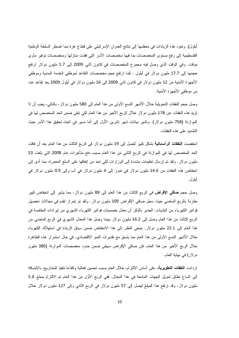أيلول). ونعود هذه الزيادات في معظمها إلى نتائج العدوان الإسرائيلي على قطاع غزة مما اضطر السلطة الوطنية الفلسطينية إلى رفع مستوى المخصصات بما فيها مخصصات الأسر التي فقدت منازلها ومخصصات نوفير مأوى مؤقت. وفي الوقت الذي وصل فيه مجموع المخصصات في كانون ثاني 2009 إلى 1.7 مليون دولار ارتفع حجمها إلى 17.7 مليون دولار في أيلول . كما ارتفع حجم مخصصات النقاعد لموظفي الخدمة المدنية وموظفي الأجهزة الأمنية من 12 مليون دولار في كانون ثاني 2009 إلى 16 مليون دولار في أيلول 2009 بعد نقاعد عدد من موظفي الأجهزة الأمنية.

وصل حجم النفقات النحويلية خلال الأشهر النسع الأولى من هذا العام إلى 580 مليون دولار ، بالنالي، يجب أن لا تزيد هذه النفقات عن 178 مليون دو لار خلال الربع الأخير من هذا العام لكي نبقي ضمن الحد المخصص لها في الموازنة (758 مليون دولار). وتشير بيانات شهر نشرين الأول إلى أننا نسير في انجاه نحقيق هذا الأمر حيث التشديد على هذه النفقات.

انخفضت ا**لنفقات الرأسمالية** بشكل كبير لتصل إلى 19 مليون دولار في الربع الثالث من هذا العام بعد أن فاقت الحد المخصص لها في الموازنة في الربع الثاني من هذا العام بسبب دفع متأخرات عام 2008 التي بلغت 53 مليون دولار . ولقد تم إرسال نعليمات مشددة إلى الوزارات لكي نحد من إنفاقها على السلع المعمرة، مما أدى إلى انخفاض هذه النفقات من 14.6 مليون دولار في تموز إلى 4 مليون دولار في أب وإلى 0.9 مليون دولار في أيلول.

وصل حجم **صافي الإقراض** في الربع الثالث من هذا العام إلى 89 مليون دولار ، مما يشير إلى انخفاض كبير مقارنة بالربع الماضي حيث سجل صافي الإقراض 109 مليون دولار . ولقد تم إحراز نقدم في مجالات تحصيل فواتير الكهرباء من البلديات. الجدير بالذكر أن معدل خصميات فواتير الكهرباء الشهرى من إيرادات المقاصة في الربع الثالث من هذا العام وصل إلى 16.2 مليون دولار بينما وصل هذا المعدل الشهري في الربع الماضي من هذا العام إلى 22.1 مليون دولار. ينبغي النظر إلى هذا الانخفاض ضمن سياق الزيادة في استهلاك الكهرباء خلال الأشهر التسع الأولى من هذا العام مما يتسق مع نقديرات النمو الاقتصادي. في حال استمرار هذه الظاهرة خلال الربع الأخير من هذا العام، فإن صافي الإقراض سيبقى ضمن حدود مخصصات الموازنة (380 مليون دو لار) في نهاية العام.

ازدادت ا**لنفقات النطويرية**، على أساس الالنزام، خلال العام بسبب نحسين فعالية وكفاءة تنفيذ المشاريع، بالإضافة إلى انساع نطاق نمويل الجهات المانحة في هذا المجال. ففي الربع الأول من هذا العام تم الالتزام بمبلغ 5.6 مليون دولار، وقد ارتفع هذا الممبلغ ليصل إلى 57 مليون دولار في الربع الثاني وإلى 127 مليون دولار خلال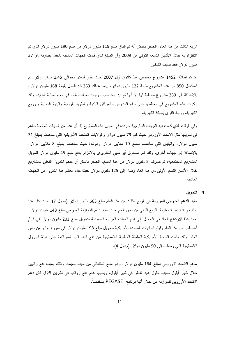الربع الثالث من هذا العام. الجدير بالذكر أنه تم اِنفاق مبلغ 119 مليون دولار من مبلغ 190 مليون دولار الذي تم الالتزام به خلال الأشهر التسعة الأولى من 2009 وأن المبلغ الذي قامت الجهات المانحة بالفعل بصرفه هو 37 مليون دولار فقط بسبب التأخير.

لقد تم إطلاق 1452 مشروع مجتمعي منذ كانون أول 2007 حيث نقدر قيمتها بحوالبي 1.45 مليار دولار. تم استكمال 850 من هذه المشاريع بقيمة 122 مليون دولار، بينما هنالك 263 قيد العمل بقيمة 168 مليون دولار، بالإضافة إلى 339 مشروع مخطط لها إلا أنها لم نبدأ بعد بسبب وجود معيقات نقف في وجه عملية النتفيذ. ولقد ركزت هذه المشاريع في معظمها على بناء المدارس والمرافق البلدية والطرق الريفية والبنية التحتية وتوزيع الكهرباء وربط القرى بشبكة الكهرباء.

وفي الوقت الذي كانت فيه الجهات الخارجية مترددة في تمويل هذه المشاريع إلا أن عدد من الجهات المانحة ساهم في نمويلها مثل الاتحاد الأوروبي حيث قدم 79 مليون دولار والولايات المتحدة الأمريكية التي ساهمت بمبلغ 31 مليون دولار، واليابان التي ساهمت بمبلغ 10 ملايين دولار وهولندة حيث ساهمت بمبلغ 8 ملايين دولار، بالإضافة إلى جهات أخرى. ولقد قام صندوق أبو ظبي النطويري بالالتزام بدفع مبلغ 45 مليون دولار لتمويل المشاريع المجتمعية، تم صرف 5 مليون دولار من هذا المبلغ. الجدير بالذكر أن حجم النمويل الفعلي للمشاريع خلال الأشهر التسع الأولى من هذا العام وصل إلى 125 مليون دولار حيث جاء معظم هذا التمويل من الجهات المانحة.

4. التمويل

حقق ا**لدعم الخارجي للموازنـة** في الربـع الثالث من هذا العام مبلغ 663 مليون دولار (جدول 7)، حيث كان هذا بمثابة زيادة كبيرة مقارنة بالربع الثاني من نفس العام حيث حقق دعم الموازنة الخارجي مبلغ 148 مليون دولار . يعود هذا الارتفاع الحاد في التمويل إلى قيام المملكة العربية السعودية بتحويل مبلغ 203 مليون دولار في أب/ أغسطس من هذا العام وقيام الولايات المتحدة الأمريكية بتحويل مبلغ 198 مليون دولار في تموز/ يوليو من نفس العام. ولقد مكنت المنحة الأمريكية السلطة الوطنية الفلسطينية من دفع الضرائب المنزاكمة على هيئة البنزول الفلسطينية التي وصلت إلى 90 مليون دولار (جدول 4).

ساهم الاتحاد الأوروبي بمبلغ 164 مليون دولار، وهو مبلغ استثنائي من حيث حجمه، وذلك بسبب دفع رانتبين خلال شهر أيلول بسبب حلول عيد الفطر في شهر أيلول. وبسبب عدم دفع رواتب في تشرين الأول كان دعم الاتحاد الأوروبي للموازنة من خلال ألية برنامج PEGASE منخفضاً.